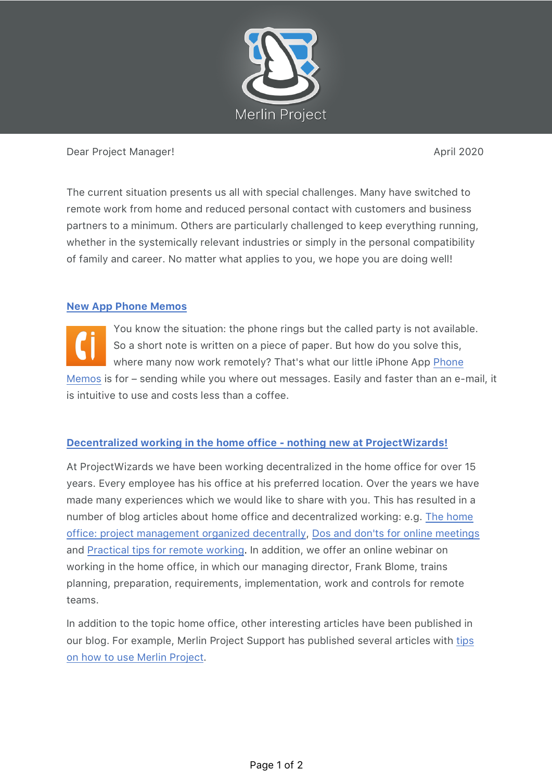

#### Dear Project Manager! April 2020

The current situation presents us all with special challenges. Many have switched to remote work from home and reduced personal contact with customers and business partners to a minimum. Others are particularly challenged to keep everything running, whether in the systemically relevant industries or simply in the personal compatibility of family and career. No matter what applies to you, we hope you are doing well!

## **New App Phone Memos**

You know the situation: the phone rings but the called party is not available. So a short note is written on a piece of paper. But how do you solve this, where many now work remotely? That's what our little iPhone App Phone Memos is for – sending while you where out messages. Easily and faster than an e-mail, it is intuitive to use and costs less than a coffee.

# **Decentralized working in the home office - nothing new at ProjectWizards!**

At ProjectWizards we have been working decentralized in the home office for over 15 years. Every employee has his office at his preferred location. Over the years we have made many experiences which we would like to share with you. This has resulted in a number of blog articles about home office and decentralized working: e.g. The home office: project management organized decentrally, Dos and don'ts for online meetings and Practical tips for remote working. In addition, we offer an online webinar on working in the home office, in which our managing director, Frank Blome, trains planning, preparation, requirements, implementation, work and controls for remote teams.

In addition to the topic home office, other interesting articles have been published in our blog. For example, Merlin Project Support has published several articles with tips on how to use Merlin Project.